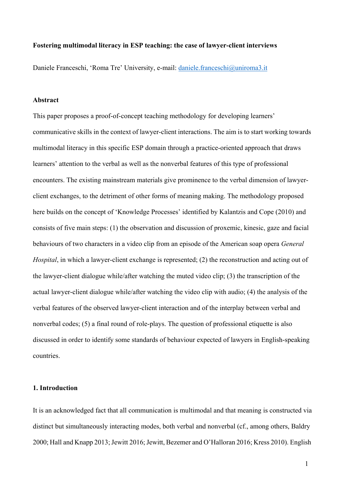### **Fostering multimodal literacy in ESP teaching: the case of lawyer-client interviews**

Daniele Franceschi, 'Roma Tre' University, e-mail: [daniele.franceschi@uniroma3.it](mailto:daniele.franceschi@uniroma3.it)

## **Abstract**

This paper proposes a proof-of-concept teaching methodology for developing learners' communicative skills in the context of lawyer-client interactions. The aim is to start working towards multimodal literacy in this specific ESP domain through a practice-oriented approach that draws learners' attention to the verbal as well as the nonverbal features of this type of professional encounters. The existing mainstream materials give prominence to the verbal dimension of lawyerclient exchanges, to the detriment of other forms of meaning making. The methodology proposed here builds on the concept of 'Knowledge Processes' identified by Kalantzis and Cope (2010) and consists of five main steps: (1) the observation and discussion of proxemic, kinesic, gaze and facial behaviours of two characters in a video clip from an episode of the American soap opera *General Hospital*, in which a lawyer-client exchange is represented; (2) the reconstruction and acting out of the lawyer-client dialogue while/after watching the muted video clip; (3) the transcription of the actual lawyer-client dialogue while/after watching the video clip with audio; (4) the analysis of the verbal features of the observed lawyer-client interaction and of the interplay between verbal and nonverbal codes; (5) a final round of role-plays. The question of professional etiquette is also discussed in order to identify some standards of behaviour expected of lawyers in English-speaking countries.

### **1. Introduction**

It is an acknowledged fact that all communication is multimodal and that meaning is constructed via distinct but simultaneously interacting modes, both verbal and nonverbal (cf., among others, Baldry 2000; Hall and Knapp 2013; Jewitt 2016; Jewitt, Bezemer and O'Halloran 2016; Kress 2010). English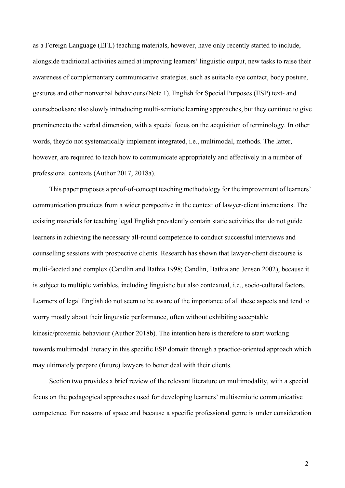as a Foreign Language (EFL) teaching materials, however, have only recently started to include, alongside traditional activities aimed at improving learners' linguistic output, new tasks to raise their awareness of complementary communicative strategies, such as suitable eye contact, body posture, gestures and other nonverbal behaviours(Note 1). English for Special Purposes (ESP) text- and coursebooks are also slowly introducing multi-semiotic learning approaches, but they continue to give prominence to the verbal dimension, with a special focus on the acquisition of terminology. In other words, they do not systematically implement integrated, i.e., multimodal, methods. The latter, however, are required to teach how to communicate appropriately and effectively in a number of professional contexts (Author 2017, 2018a).

This paper proposes a proof-of-concept teaching methodology for the improvement of learners' communication practices from a wider perspective in the context of lawyer-client interactions. The existing materials for teaching legal English prevalently contain static activities that do not guide learners in achieving the necessary all-round competence to conduct successful interviews and counselling sessions with prospective clients. Research has shown that lawyer-client discourse is multi-faceted and complex (Candlin and Bathia 1998; Candlin, Bathia and Jensen 2002), because it is subject to multiple variables, including linguistic but also contextual, i.e., socio-cultural factors. Learners of legal English do not seem to be aware of the importance of all these aspects and tend to worry mostly about their linguistic performance, often without exhibiting acceptable kinesic/proxemic behaviour (Author 2018b). The intention here is therefore to start working towards multimodal literacy in this specific ESP domain through a practice-oriented approach which may ultimately prepare (future) lawyers to better deal with their clients.

Section two provides a brief review of the relevant literature on multimodality, with a special focus on the pedagogical approaches used for developing learners' multisemiotic communicative competence. For reasons of space and because a specific professional genre is under consideration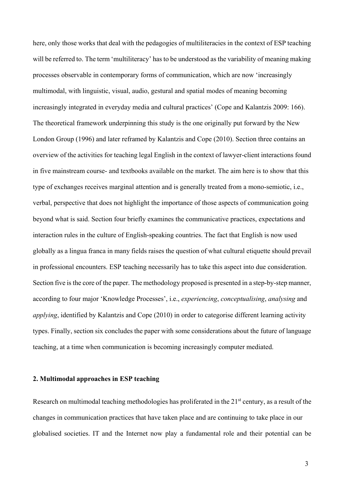here, only those works that deal with the pedagogies of multiliteracies in the context of ESP teaching will be referred to. The term 'multiliteracy' has to be understood as the variability of meaning making processes observable in contemporary forms of communication, which are now 'increasingly multimodal, with linguistic, visual, audio, gestural and spatial modes of meaning becoming increasingly integrated in everyday media and cultural practices' (Cope and Kalantzis 2009: 166). The theoretical framework underpinning this study is the one originally put forward by the New London Group (1996) and later reframed by Kalantzis and Cope (2010). Section three contains an overview of the activities for teaching legal English in the context of lawyer-client interactions found in five mainstream course- and textbooks available on the market. The aim here is to show that this type of exchanges receives marginal attention and is generally treated from a mono-semiotic, i.e., verbal, perspective that does not highlight the importance of those aspects of communication going beyond what is said. Section four briefly examines the communicative practices, expectations and interaction rules in the culture of English-speaking countries. The fact that English is now used globally as a lingua franca in many fields raises the question of what cultural etiquette should prevail in professional encounters. ESP teaching necessarily has to take this aspect into due consideration. Section five is the core of the paper. The methodology proposed is presented in a step-by-step manner, according to four major 'Knowledge Processes', i.e., *experiencing*, *conceptualising*, *analysing* and *applying*, identified by Kalantzis and Cope (2010) in order to categorise different learning activity types. Finally, section six concludes the paper with some considerations about the future of language teaching, at a time when communication is becoming increasingly computer mediated.

## **2. Multimodal approaches in ESP teaching**

Research on multimodal teaching methodologies has proliferated in the 21<sup>st</sup> century, as a result of the changes in communication practices that have taken place and are continuing to take place in our globalised societies. IT and the Internet now play a fundamental role and their potential can be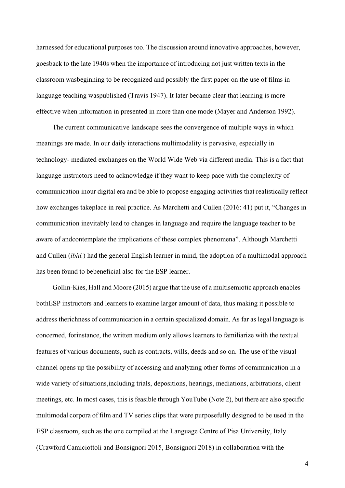harnessed for educational purposes too. The discussion around innovative approaches, however, goes back to the late 1940s when the importance of introducing not just written texts in the classroom was beginning to be recognized and possibly the first paper on the use of films in language teaching waspublished (Travis 1947). It later became clear that learning is more effective when information in presented in more than one mode (Mayer and Anderson 1992).

The current communicative landscape sees the convergence of multiple ways in which meanings are made. In our daily interactions multimodality is pervasive, especially in technology- mediated exchanges on the World Wide Web via different media. This is a fact that language instructors need to acknowledge if they want to keep pace with the complexity of communication in our digital era and be able to propose engaging activities that realistically reflect how exchanges take place in real practice. As Marchetti and Cullen (2016: 41) put it, "Changes in communication inevitably lead to changes in language and require the language teacher to be aware of and contemplate the implications of these complex phenomena". Although Marchetti and Cullen (*ibid.*) had the general English learner in mind, the adoption of a multimodal approach has been found to bebeneficial also for the ESP learner.

Gollin-Kies, Hall and Moore (2015) argue that the use of a multisemiotic approach enables both ESP instructors and learners to examine larger amount of data, thus making it possible to address the richness of communication in a certain specialized domain. As far as legal language is concerned, forinstance, the written medium only allows learners to familiarize with the textual features of various documents, such as contracts, wills, deeds and so on. The use of the visual channel opens up the possibility of accessing and analyzing other forms of communication in a wide variety of situations, including trials, depositions, hearings, mediations, arbitrations, client meetings, etc. In most cases, this is feasible through YouTube (Note 2), but there are also specific multimodal corpora of film and TV series clips that were purposefully designed to be used in the ESP classroom, such as the one compiled at the Language Centre of Pisa University, Italy (Crawford Camiciottoli and Bonsignori 2015, Bonsignori 2018) in collaboration with the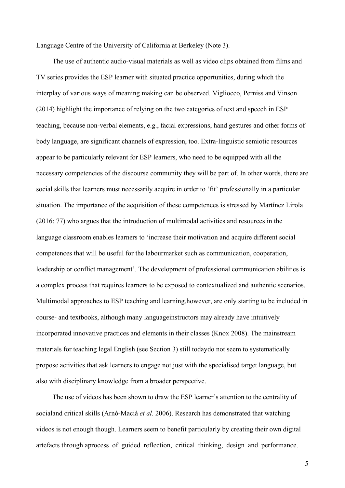Language Centre of the University of California at Berkeley (Note 3).

The use of authentic audio-visual materials as well as video clips obtained from films and TV series provides the ESP learner with situated practice opportunities, during which the interplay of various ways of meaning making can be observed. Vigliocco, Perniss and Vinson (2014) highlight the importance of relying on the two categories of text and speech in ESP teaching, because non-verbal elements, e.g., facial expressions, hand gestures and other forms of body language, are significant channels of expression, too. Extra-linguistic semiotic resources appear to be particularly relevant for ESP learners, who need to be equipped with all the necessary competencies of the discourse community they will be part of. In other words, there are social skills that learners must necessarily acquire in order to 'fit' professionally in a particular situation. The importance of the acquisition of these competences is stressed by Martínez Lirola (2016: 77) who argues that the introduction of multimodal activities and resources in the language classroom enables learners to 'increase their motivation and acquire different social competences that will be useful for the labourmarket such as communication, cooperation, leadership or conflict management'. The development of professional communication abilities is a complex process that requires learners to be exposed to contextualized and authentic scenarios. Multimodal approaches to ESP teaching and learning, however, are only starting to be included in course- and textbooks, although many language instructors may already have intuitively incorporated innovative practices and elements in their classes (Knox 2008). The mainstream materials for teaching legal English (see Section 3) still todaydo not seem to systematically propose activities that ask learners to engage not just with the specialised target language, but also with disciplinary knowledge from a broader perspective.

The use of videos has been shown to draw the ESP learner's attention to the centrality of socialand critical skills (Arnò-Macià *et al.* 2006). Research has demonstrated that watching videos is not enough though. Learners seem to benefit particularly by creating their own digital artefacts through aprocess of guided reflection, critical thinking, design and performance.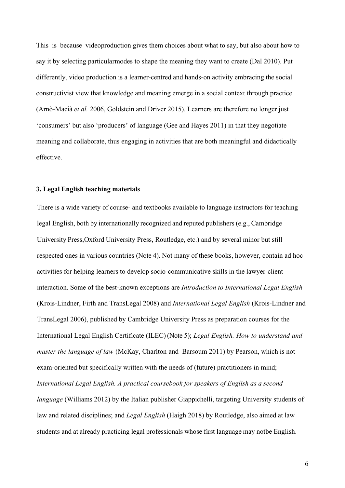This is because videoproduction gives them choices about what to say, but also about how to say it by selecting particular modes to shape the meaning they want to create (Dal 2010). Put differently, video production is a learner-centred and hands-on activity embracing the social constructivist view that knowledge and meaning emerge in a social context through practice (Arnò-Macià *et al.* 2006, Goldstein and Driver 2015). Learners are therefore no longer just 'consumers' but also 'producers' of language (Gee and Hayes 2011) in that they negotiate meaning and collaborate, thus engaging in activities that are both meaningful and didactically effective.

# **3. Legal English teaching materials**

There is a wide variety of course- and textbooks available to language instructors for teaching legal English, both by internationally recognized and reputed publishers (e.g., Cambridge University Press, Oxford University Press, Routledge, etc.) and by several minor but still respected ones in various countries (Note 4). Not many of these books, however, contain ad hoc activities for helping learners to develop socio-communicative skills in the lawyer-client interaction. Some of the best-known exceptions are *Introduction to International Legal English*  (Krois-Lindner, Firth and TransLegal 2008) and *International Legal English* (Krois-Lindner and TransLegal 2006), published by Cambridge University Press as preparation courses for the International Legal English Certificate (ILEC) (Note 5); *Legal English. How to understand and master the language of law* (McKay, Charlton and Barsoum 2011) by Pearson, which is not exam-oriented but specifically written with the needs of (future) practitioners in mind; *International Legal English. A practical coursebook for speakers of English as a second language* (Williams 2012) by the Italian publisher Giappichelli, targeting University students of law and related disciplines; and *Legal English* (Haigh 2018) by Routledge, also aimed at law students and at already practicing legal professionals whose first language may notbe English.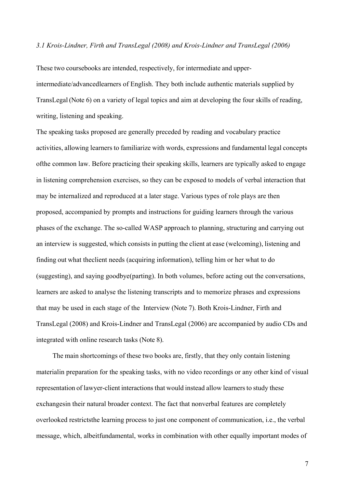### *3.1 Krois-Lindner, Firth and TransLegal (2008) and Krois-Lindner and TransLegal (2006)*

These two coursebooks are intended, respectively, for intermediate and upperintermediate/advanced learners of English. They both include authentic materials supplied by TransLegal (Note 6) on a variety of legal topics and aim at developing the four skills of reading, writing, listening and speaking.

The speaking tasks proposed are generally preceded by reading and vocabulary practice activities, allowing learners to familiarize with words, expressions and fundamental legal concepts of the common law. Before practicing their speaking skills, learners are typically asked to engage in listening comprehension exercises, so they can be exposed to models of verbal interaction that may be internalized and reproduced at a later stage. Various types of role plays are then proposed, accompanied by prompts and instructions for guiding learners through the various phases of the exchange. The so-called WASP approach to planning, structuring and carrying out an interview is suggested, which consists in putting the client at ease (welcoming), listening and finding out what the client needs (acquiring information), telling him or her what to do (suggesting), and saying goodbye (parting). In both volumes, before acting out the conversations, learners are asked to analyse the listening transcripts and to memorize phrases and expressions that may be used in each stage of the Interview (Note 7). Both Krois-Lindner, Firth and TransLegal (2008) and Krois-Lindner and TransLegal (2006) are accompanied by audio CDs and integrated with online research tasks (Note 8).

The main shortcomings of these two books are, firstly, that they only contain listening materialin preparation for the speaking tasks, with no video recordings or any other kind of visual representation of lawyer-client interactions that would instead allow learners to study these exchanges in their natural broader context. The fact that nonverbal features are completely overlooked restricts the learning process to just one component of communication, i.e., the verbal message, which, albeit fundamental, works in combination with other equally important modes of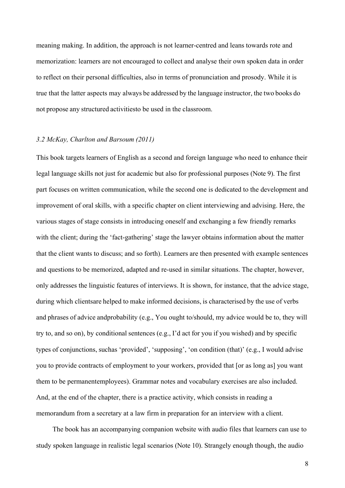meaning making. In addition, the approach is not learner-centred and leans towards rote and memorization: learners are not encouraged to collect and analyse their own spoken data in order to reflect on their personal difficulties, also in terms of pronunciation and prosody. While it is true that the latter aspects may always be addressed by the language instructor, the two books do not propose any structured activitiesto be used in the classroom.

### *3.2 McKay, Charlton and Barsoum (2011)*

This book targets learners of English as a second and foreign language who need to enhance their legal language skills not just for academic but also for professional purposes (Note 9). The first part focuses on written communication, while the second one is dedicated to the development and improvement of oral skills, with a specific chapter on client interviewing and advising. Here, the various stages of stage consists in introducing oneself and exchanging a few friendly remarks with the client; during the 'fact-gathering' stage the lawyer obtains information about the matter that the client wants to discuss; and so forth). Learners are then presented with example sentences and questions to be memorized, adapted and re-used in similar situations. The chapter, however, only addresses the linguistic features of interviews. It is shown, for instance, that the advice stage, during which clients are helped to make informed decisions, is characterised by the use of verbs and phrases of advice and probability (e.g., You ought to/should, my advice would be to, they will try to, and so on), by conditional sentences (e.g., I'd act for you if you wished) and by specific types of conjunctions, suchas 'provided', 'supposing', 'on condition (that)' (e.g., I would advise you to provide contracts of employment to your workers, provided that [or as long as] you want them to be permanent employees). Grammar notes and vocabulary exercises are also included. And, at the end of the chapter, there is a practice activity, which consists in reading a memorandum from a secretary at a law firm in preparation for an interview with a client.

The book has an accompanying companion website with audio files that learners can use to study spoken language in realistic legal scenarios (Note 10). Strangely enough though, the audio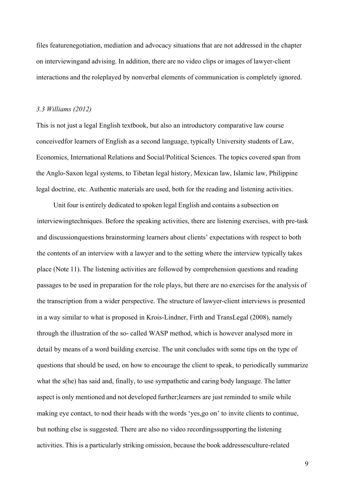files feature negotiation, mediation and advocacy situations that are not addressed in the chapter on interviewing and advising. In addition, there are no video clips or images of lawyer-client interactions and the role played by nonverbal elements of communication is completely ignored.

#### *3.3 Williams (2012)*

This is not just a legal English textbook, but also an introductory comparative law course conceived for learners of English as a second language, typically University students of Law, Economics, International Relations and Social/Political Sciences. The topics covered span from the Anglo-Saxon legal systems, to Tibetan legal history, Mexican law, Islamic law, Philippine legal doctrine, etc. Authentic materials are used, both for the reading and listening activities.

Unit four is entirely dedicated to spoken legal English and contains a subsection on interviewingtechniques. Before the speaking activities, there are listening exercises, with pre-task and discussion questions brainstorming learners about clients' expectations with respect to both the contents of an interview with a lawyer and to the setting where the interview typically takes place (Note 11). The listening activities are followed by comprehension questions and reading passages to be used in preparation for the role plays, but there are no exercises for the analysis of the transcription from a wider perspective. The structure of lawyer-client interviews is presented in a way similar to what is proposed in Krois-Lindner, Firth and TransLegal (2008), namely through the illustration of the so- called WASP method, which is however analysed more in detail by means of a word building exercise. The unit concludes with some tips on the type of questions that should be used, on how to encourage the client to speak, to periodically summarize what the s(he) has said and, finally, to use sympathetic and caring body language. The latter aspect is only mentioned and not developed further;learners are just reminded to smile while making eye contact, to nod their heads with the words 'yes,go on' to invite clients to continue, but nothing else is suggested. There are also no video recordings supporting the listening activities. This is a particularly striking omission, because the book addressesculture-related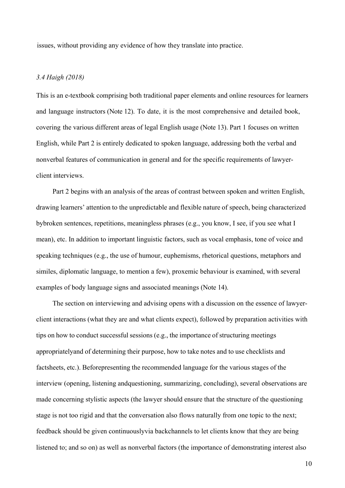issues, without providing any evidence of how they translate into practice.

## *3.4 Haigh (2018)*

This is an e-textbook comprising both traditional paper elements and online resources for learners and language instructors (Note 12). To date, it is the most comprehensive and detailed book, covering the various different areas of legal English usage (Note 13). Part 1 focuses on written English, while Part 2 is entirely dedicated to spoken language, addressing both the verbal and nonverbal features of communication in general and for the specific requirements of lawyerclient interviews.

Part 2 begins with an analysis of the areas of contrast between spoken and written English, drawing learners' attention to the unpredictable and flexible nature of speech, being characterized by broken sentences, repetitions, meaningless phrases (e.g., you know, I see, if you see what I mean), etc. In addition to important linguistic factors, such as vocal emphasis, tone of voice and speaking techniques (e.g., the use of humour, euphemisms, rhetorical questions, metaphors and similes, diplomatic language, to mention a few), proxemic behaviour is examined, with several examples of body language signs and associated meanings (Note 14).

The section on interviewing and advising opens with a discussion on the essence of lawyerclient interactions (what they are and what clients expect), followed by preparation activities with tips on how to conduct successful sessions (e.g., the importance of structuring meetings appropriately and of determining their purpose, how to take notes and to use checklists and factsheets, etc.). Beforepresenting the recommended language for the various stages of the interview (opening, listening and questioning, summarizing, concluding), several observations are made concerning stylistic aspects (the lawyer should ensure that the structure of the questioning stage is not too rigid and that the conversation also flows naturally from one topic to the next; feedback should be given continuously via backchannels to let clients know that they are being listened to; and so on) as well as nonverbal factors (the importance of demonstrating interest also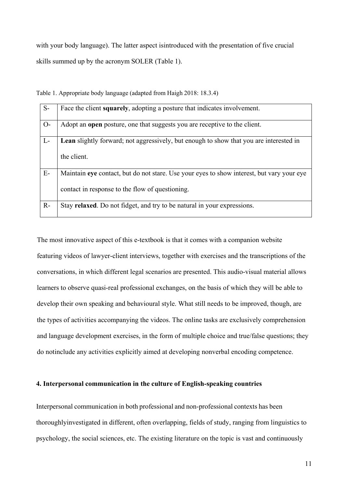with your body language). The latter aspect is introduced with the presentation of five crucial skills summed up by the acronym SOLER (Table 1).

| $S-$  | Face the client squarely, adopting a posture that indicates involvement.                  |
|-------|-------------------------------------------------------------------------------------------|
|       |                                                                                           |
|       |                                                                                           |
| $O-$  | Adopt an <b>open</b> posture, one that suggests you are receptive to the client.          |
|       |                                                                                           |
|       |                                                                                           |
| $L-$  | Lean slightly forward; not aggressively, but enough to show that you are interested in    |
|       |                                                                                           |
|       |                                                                                           |
|       | the client.                                                                               |
|       |                                                                                           |
|       |                                                                                           |
| $E-$  |                                                                                           |
|       | Maintain eye contact, but do not stare. Use your eyes to show interest, but vary your eye |
|       |                                                                                           |
|       |                                                                                           |
|       | contact in response to the flow of questioning.                                           |
|       |                                                                                           |
|       |                                                                                           |
| $R -$ | Stay relaxed. Do not fidget, and try to be natural in your expressions.                   |
|       |                                                                                           |
|       |                                                                                           |

Table 1. Appropriate body language (adapted from Haigh 2018: 18.3.4)

The most innovative aspect of this e-textbook is that it comes with a companion website featuring videos of lawyer-client interviews, together with exercises and the transcriptions of the conversations, in which different legal scenarios are presented. This audio-visual material allows learners to observe quasi-real professional exchanges, on the basis of which they will be able to develop their own speaking and behavioural style. What still needs to be improved, though, are the types of activities accompanying the videos. The online tasks are exclusively comprehension and language development exercises, in the form of multiple choice and true/false questions; they do not include any activities explicitly aimed at developing nonverbal encoding competence.

# **4. Interpersonal communication in the culture of English-speaking countries**

Interpersonal communication in both professional and non-professional contexts has been thoroughly investigated in different, often overlapping, fields of study, ranging from linguistics to psychology, the social sciences, etc. The existing literature on the topic is vast and continuously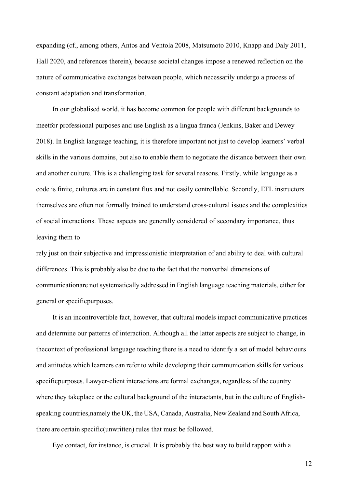expanding (cf., among others, Antos and Ventola 2008, Matsumoto 2010, Knapp and Daly 2011, Hall 2020, and references therein), because societal changes impose a renewed reflection on the nature of communicative exchanges between people, which necessarily undergo a process of constant adaptation and transformation.

In our globalised world, it has become common for people with different backgrounds to meet for professional purposes and use English as a lingua franca (Jenkins, Baker and Dewey 2018). In English language teaching, it is therefore important not just to develop learners' verbal skills in the various domains, but also to enable them to negotiate the distance between their own and another culture. This is a challenging task for several reasons. Firstly, while language as a code is finite, cultures are in constant flux and not easily controllable. Secondly, EFL instructors themselves are often not formally trained to understand cross-cultural issues and the complexities of social interactions. These aspects are generally considered of secondary importance, thus leaving them to

rely just on their subjective and impressionistic interpretation of and ability to deal with cultural differences. This is probably also be due to the fact that the nonverbal dimensions of communication are not systematically addressed in English language teaching materials, either for general or specific purposes.

It is an incontrovertible fact, however, that cultural models impact communicative practices and determine our patterns of interaction. Although all the latter aspects are subject to change, in the context of professional language teaching there is a need to identify a set of model behaviours and attitudes which learners can refer to while developing their communication skills for various specificpurposes. Lawyer-client interactions are formal exchanges, regardless of the country where they take place or the cultural background of the interactants, but in the culture of Englishspeaking countries, namely the UK, the USA, Canada, Australia, New Zealand and South Africa, there are certain specific (unwritten) rules that must be followed.

Eye contact, for instance, is crucial. It is probably the best way to build rapport with a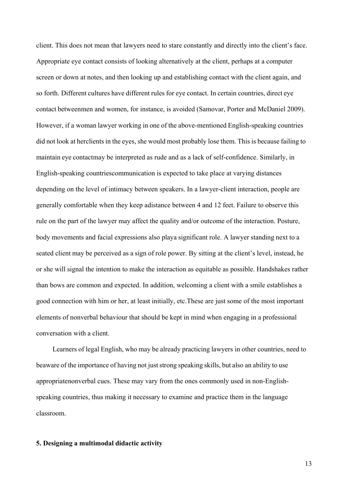client. This does not mean that lawyers need to stare constantly and directly into the client's face. Appropriate eye contact consists of looking alternatively at the client, perhaps at a computer screen or down at notes, and then looking up and establishing contact with the client again, and so forth. Different cultures have different rules for eye contact. In certain countries, direct eye contact between men and women, for instance, is avoided (Samovar, Porter and McDaniel 2009). However, if a woman lawyer working in one of the above-mentioned English-speaking countries did not look at her clients in the eyes, she would most probably lose them. This is because failing to maintain eye contactmay be interpreted as rude and as a lack of self-confidence. Similarly, in English-speaking countries communication is expected to take place at varying distances depending on the level of intimacy between speakers. In a lawyer-client interaction, people are generally comfortable when they keep adistance between 4 and 12 feet. Failure to observe this rule on the part of the lawyer may affect the quality and/or outcome of the interaction. Posture, body movements and facial expressions also playa significant role. A lawyer standing next to a seated client may be perceived as a sign of role power. By sitting at the client's level, instead, he or she will signal the intention to make the interaction as equitable as possible. Handshakes rather than bows are common and expected. In addition, welcoming a client with a smile establishes a good connection with him or her, at least initially, etc. These are just some of the most important elements of nonverbal behaviour that should be kept in mind when engaging in a professional conversation with a client.

Learners of legal English, who may be already practicing lawyers in other countries, need to be aware of the importance of having not just strong speaking skills, but also an ability to use appropriate nonverbal cues. These may vary from the ones commonly used in non-Englishspeaking countries, thus making it necessary to examine and practice them in the language classroom.

## **5. Designing a multimodal didactic activity**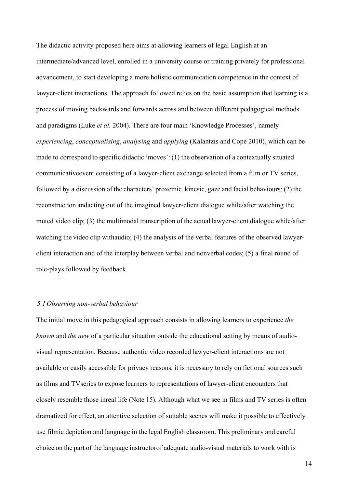The didactic activity proposed here aims at allowing learners of legal English at an intermediate/advanced level, enrolled in a university course or training privately for professional advancement, to start developing a more holistic communication competence in the context of lawyer-client interactions. The approach followed relies on the basic assumption that learning is a process of moving backwards and forwards across and between different pedagogical methods and paradigms (Luke *et al.* 2004). There are four main 'Knowledge Processes', namely *experiencing*, *conceptualising*, *analysing* and *applying* (Kalantzis and Cope 2010), which can be made to correspond to specific didactic 'moves': (1) the observation of a contextually situated communicative event consisting of a lawyer-client exchange selected from a film or TV series, followed by a discussion of the characters' proxemic, kinesic, gaze and facial behaviours; (2) the reconstruction and acting out of the imagined lawyer-client dialogue while/after watching the muted video clip; (3) the multimodal transcription of the actual lawyer-client dialogue while/after watching the video clip withaudio; (4) the analysis of the verbal features of the observed lawyerclient interaction and of the interplay between verbal and nonverbal codes; (5) a final round of role-plays followed by feedback.

### *5.1 Observing non-verbal behaviour*

The initial move in this pedagogical approach consists in allowing learners to experience *the known* and *the new* of a particular situation outside the educational setting by means of audiovisual representation. Because authentic video recorded lawyer-client interactions are not available or easily accessible for privacy reasons, it is necessary to rely on fictional sources such as films and TVseries to expose learners to representations of lawyer-client encounters that closely resemble those inreal life (Note 15). Although what we see in films and TV series is often dramatized for effect, an attentive selection of suitable scenes will make it possible to effectively use filmic depiction and language in the legal English classroom. This preliminary and careful choice on the part of the language instructorof adequate audio-visual materials to work with is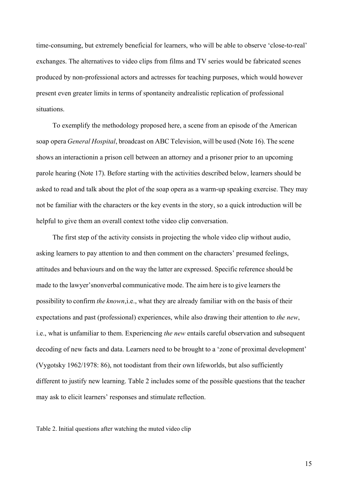time-consuming, but extremely beneficial for learners, who will be able to observe 'close-to-real' exchanges. The alternatives to video clips from films and TV series would be fabricated scenes produced by non-professional actors and actresses for teaching purposes, which would however present even greater limits in terms of spontaneity andrealistic replication of professional situations.

To exemplify the methodology proposed here, a scene from an episode of the American soap opera *General Hospital*, broadcast on ABC Television, will be used (Note 16). The scene shows an interaction in a prison cell between an attorney and a prisoner prior to an upcoming parole hearing (Note 17). Before starting with the activities described below, learners should be asked to read and talk about the plot of the soap opera as a warm-up speaking exercise. They may not be familiar with the characters or the key events in the story, so a quick introduction will be helpful to give them an overall context to the video clip conversation.

The first step of the activity consists in projecting the whole video clip without audio, asking learners to pay attention to and then comment on the characters' presumed feelings, attitudes and behaviours and on the way the latter are expressed. Specific reference should be made to the lawyer's nonverbal communicative mode. The aim here is to give learners the possibility to confirm *the known*, i.e., what they are already familiar with on the basis of their expectations and past (professional) experiences, while also drawing their attention to *the new*, i.e., what is unfamiliar to them. Experiencing *the new* entails careful observation and subsequent decoding of new facts and data. Learners need to be brought to a 'zone of proximal development' (Vygotsky 1962/1978: 86), not toodistant from their own lifeworlds, but also sufficiently different to justify new learning. Table 2 includes some of the possible questions that the teacher may ask to elicit learners' responses and stimulate reflection.

Table 2. Initial questions after watching the muted video clip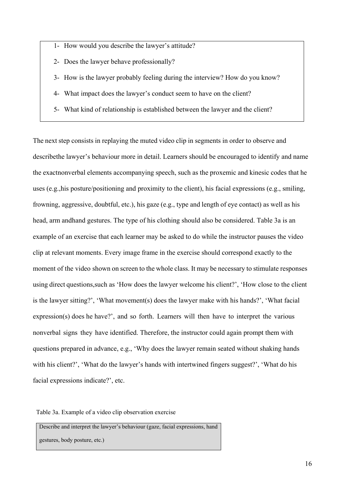- 1- How would you describe the lawyer's attitude?
- 2- Does the lawyer behave professionally?
- 3- How is the lawyer probably feeling during the interview? How do you know?
- 4- What impact does the lawyer's conduct seem to have on the client?
- 5- What kind of relationship is established between the lawyer and the client?

The next step consists in replaying the muted video clip in segments in order to observe and describe the lawyer's behaviour more in detail. Learners should be encouraged to identify and name the exact nonverbal elements accompanying speech, such as the proxemic and kinesic codes that he uses (e.g., his posture/positioning and proximity to the client), his facial expressions (e.g., smiling, frowning, aggressive, doubtful, etc.), his gaze (e.g., type and length of eye contact) as well as his head, arm and hand gestures. The type of his clothing should also be considered. Table 3a is an example of an exercise that each learner may be asked to do while the instructor pauses the video clip at relevant moments. Every image frame in the exercise should correspond exactly to the moment of the video shown on screen to the whole class. It may be necessary to stimulate responses using direct questions, such as 'How does the lawyer welcome his client?', 'How close to the client is the lawyer sitting?', 'What movement(s) does the lawyer make with his hands?', 'What facial expression(s) does he have?', and so forth. Learners will then have to interpret the various nonverbal signs they have identified. Therefore, the instructor could again prompt them with questions prepared in advance, e.g., 'Why does the lawyer remain seated without shaking hands with his client?', 'What do the lawyer's hands with intertwined fingers suggest?', 'What do his facial expressions indicate?', etc.

Table 3a. Example of a video clip observation exercise

Describe and interpret the lawyer's behaviour (gaze, facial expressions, hand gestures, body posture, etc.)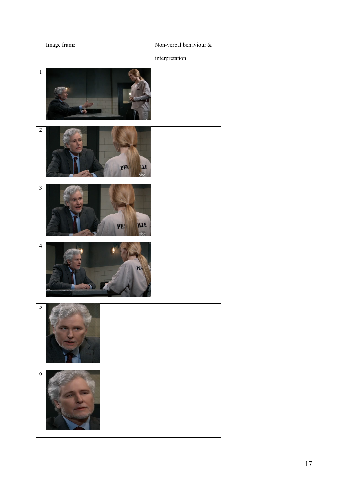| Image frame                                   | Non-verbal behaviour & |
|-----------------------------------------------|------------------------|
|                                               | interpretation         |
| $\overline{1}$                                |                        |
| $\overline{2}$<br>PEN<br><b>TT</b><br>abc     |                        |
| $\overline{\mathbf{3}}$<br>PEN<br><b>ITTE</b> |                        |
| $\overline{4}$<br>PEN                         |                        |
| 5                                             |                        |
| $\overline{6}$                                |                        |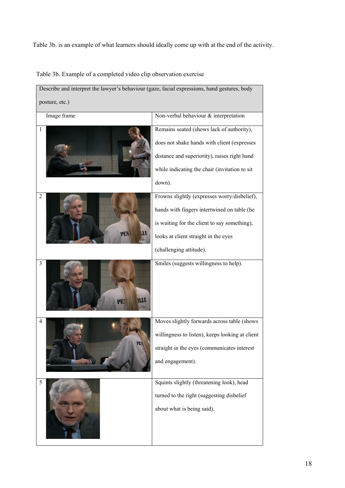Table 3b. is an example of what learners should ideally come up with at the end of the activity.

Table 3b. Example of a completed video clip observation exercise

| Describe and interpret the lawyer's behaviour (gaze, facial expressions, hand gestures, body |                                                 |  |  |  |  |
|----------------------------------------------------------------------------------------------|-------------------------------------------------|--|--|--|--|
| posture, etc.)                                                                               |                                                 |  |  |  |  |
| Image frame                                                                                  | Non-verbal behaviour & interpretation           |  |  |  |  |
| 1                                                                                            | Remains seated (shows lack of authority),       |  |  |  |  |
|                                                                                              | does not shake hands with client (expresses     |  |  |  |  |
|                                                                                              | distance and superiority), raises right hand    |  |  |  |  |
|                                                                                              | while indicating the chair (invitation to sit   |  |  |  |  |
|                                                                                              | down).                                          |  |  |  |  |
| 2                                                                                            | Frowns slightly (expresses worry/disbelief),    |  |  |  |  |
|                                                                                              | hands with fingers intertwined on table (he     |  |  |  |  |
|                                                                                              | is waiting for the client to say something),    |  |  |  |  |
| PEN<br>ITI                                                                                   | looks at client straight in the eyes            |  |  |  |  |
|                                                                                              | (challenging attitude).                         |  |  |  |  |
| 3<br>PEN                                                                                     | Smiles (suggests willingness to help).          |  |  |  |  |
| 4                                                                                            | Moves slightly forwards across table (shows     |  |  |  |  |
|                                                                                              | willingness to listen), keeps looking at client |  |  |  |  |
|                                                                                              | straight in the eyes (communicates interest     |  |  |  |  |
|                                                                                              | and engagement).                                |  |  |  |  |
| 5                                                                                            | Squints slightly (threatening look), head       |  |  |  |  |
|                                                                                              | turned to the right (suggesting disbelief       |  |  |  |  |
|                                                                                              | about what is being said).                      |  |  |  |  |
|                                                                                              |                                                 |  |  |  |  |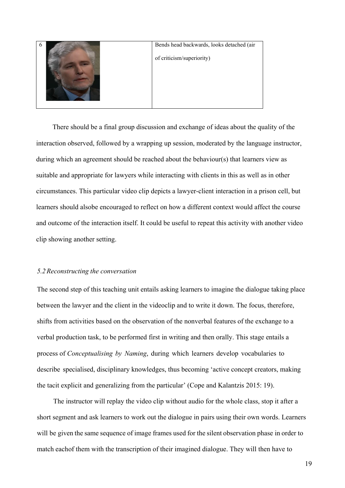| $\mathbf b$ | Bends head backwards, looks detached (air |
|-------------|-------------------------------------------|
|             | of criticism/superiority)                 |
|             |                                           |
|             |                                           |

There should be a final group discussion and exchange of ideas about the quality of the interaction observed, followed by a wrapping up session, moderated by the language instructor, during which an agreement should be reached about the behaviour(s) that learners view as suitable and appropriate for lawyers while interacting with clients in this as well as in other circumstances. This particular video clip depicts a lawyer-client interaction in a prison cell, but learners should alsobe encouraged to reflect on how a different context would affect the course and outcome of the interaction itself. It could be useful to repeat this activity with another video clip showing another setting.

### *5.2Reconstructing the conversation*

The second step of this teaching unit entails asking learners to imagine the dialogue taking place between the lawyer and the client in the videoclip and to write it down. The focus, therefore, shifts from activities based on the observation of the nonverbal features of the exchange to a verbal production task, to be performed first in writing and then orally. This stage entails a process of *Conceptualising by Naming*, during which learners develop vocabularies to describe specialised, disciplinary knowledges, thus becoming 'active concept creators, making the tacit explicit and generalizing from the particular' (Cope and Kalantzis 2015: 19).

The instructor will replay the video clip without audio for the whole class, stop it after a short segment and ask learners to work out the dialogue in pairs using their own words. Learners will be given the same sequence of image frames used for the silent observation phase in order to match each of them with the transcription of their imagined dialogue. They will then have to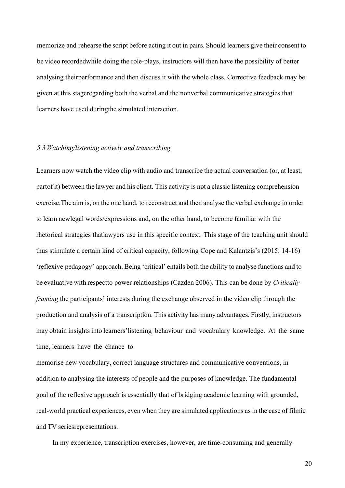memorize and rehearse the script before acting it out in pairs. Should learners give their consent to be video recorded while doing the role-plays, instructors will then have the possibility of better analysing their performance and then discuss it with the whole class. Corrective feedback may be given at this stage regarding both the verbal and the nonverbal communicative strategies that learners have used during the simulated interaction.

## *5.3 Watching/listening actively and transcribing*

Learners now watch the video clip with audio and transcribe the actual conversation (or, at least, part of it) between the lawyer and his client. This activity is not a classic listening comprehension exercise.The aim is, on the one hand, to reconstruct and then analyse the verbal exchange in order to learn new legal words/expressions and, on the other hand, to become familiar with the rhetorical strategies thatlawyers use in this specific context. This stage of the teaching unit should thus stimulate a certain kind of critical capacity, following Cope and Kalantzis's (2015: 14-16) 'reflexive pedagogy' approach. Being 'critical' entails both the ability to analyse functions and to be evaluative with respect to power relationships (Cazden 2006). This can be done by *Critically framing* the participants' interests during the exchange observed in the video clip through the production and analysis of a transcription. This activity has many advantages. Firstly, instructors may obtain insights into learners'listening behaviour and vocabulary knowledge. At the same time, learners have the chance to

memorise new vocabulary, correct language structures and communicative conventions, in addition to analysing the interests of people and the purposes of knowledge. The fundamental goal of the reflexive approach is essentially that of bridging academic learning with grounded, real-world practical experiences, even when they are simulated applications as in the case of filmic and TV seriesrepresentations.

In my experience, transcription exercises, however, are time-consuming and generally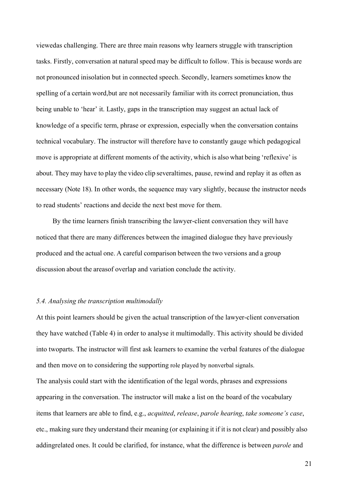viewedas challenging. There are three main reasons why learners struggle with transcription tasks. Firstly, conversation at natural speed may be difficult to follow. This is because words are not pronounced inisolation but in connected speech. Secondly, learners sometimes know the spelling of a certain word, but are not necessarily familiar with its correct pronunciation, thus being unable to 'hear' it. Lastly, gaps in the transcription may suggest an actual lack of knowledge of a specific term, phrase or expression, especially when the conversation contains technical vocabulary. The instructor will therefore have to constantly gauge which pedagogical move is appropriate at different moments of the activity, which is also what being 'reflexive' is about. They may have to play the video clip severaltimes, pause, rewind and replay it as often as necessary (Note 18). In other words, the sequence may vary slightly, because the instructor needs to read students' reactions and decide the next best move for them.

By the time learners finish transcribing the lawyer-client conversation they will have noticed that there are many differences between the imagined dialogue they have previously produced and the actual one. A careful comparison between the two versions and a group discussion about the areas of overlap and variation conclude the activity.

## *5.4. Analysing the transcription multimodally*

At this point learners should be given the actual transcription of the lawyer-client conversation they have watched (Table 4) in order to analyse it multimodally. This activity should be divided into twoparts. The instructor will first ask learners to examine the verbal features of the dialogue and then move on to considering the supporting role played by nonverbal signals.

The analysis could start with the identification of the legal words, phrases and expressions appearing in the conversation. The instructor will make a list on the board of the vocabulary items that learners are able to find, e.g., *acquitted*, *release*, *parole hearing*, *take someone's case*, etc., making sure they understand their meaning (or explaining it if it is not clear) and possibly also adding related ones. It could be clarified, for instance, what the difference is between *parole* and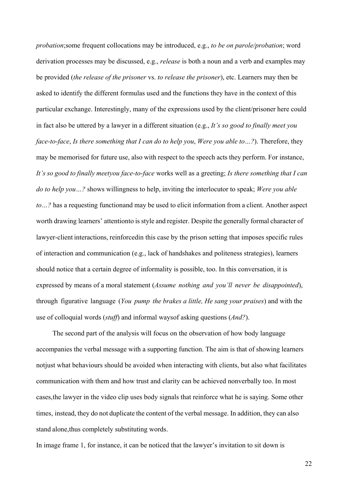*probation*; some frequent collocations may be introduced, e.g., *to be on parole/probation*; word derivation processes may be discussed, e.g., *release* is both a noun and a verb and examples may be provided (*the release of the prisoner* vs. *to release the prisoner*), etc. Learners may then be asked to identify the different formulas used and the functions they have in the context of this particular exchange. Interestingly, many of the expressions used by the client/prisoner here could in fact also be uttered by a lawyer in a different situation (e.g., *It's so good to finally meet you face-to-face*, *Is there something that I can do to help you*, *Were you able to…?*). Therefore, they may be memorised for future use, also with respect to the speech acts they perform. For instance, *It's so good to finally meetyou face-to-face* works well as a greeting; *Is there something that I can do to help you…?* shows willingness to help, inviting the interlocutor to speak; *Were you able to* ...? has a requesting function and may be used to elicit information from a client. Another aspect worth drawing learners' attentionto is style and register. Despite the generally formal character of lawyer-client interactions, reinforcedin this case by the prison setting that imposes specific rules of interaction and communication (e.g., lack of handshakes and politeness strategies), learners should notice that a certain degree of informality is possible, too. In this conversation, it is expressed by means of a moral statement (*Assume nothing and you'll never be disappointed*), through figurative language (*You pump the brakes a little, He sang your praises*) and with the use of colloquial words (*stuff*) and informal ways of asking questions (*And?*).

The second part of the analysis will focus on the observation of how body language accompanies the verbal message with a supporting function. The aim is that of showing learners not just what behaviours should be avoided when interacting with clients, but also what facilitates communication with them and how trust and clarity can be achieved nonverbally too. In most cases, the lawyer in the video clip uses body signals that reinforce what he is saying. Some other times, instead, they do not duplicate the content of the verbal message. In addition, they can also stand alone, thus completely substituting words.

In image frame 1, for instance, it can be noticed that the lawyer's invitation to sit down is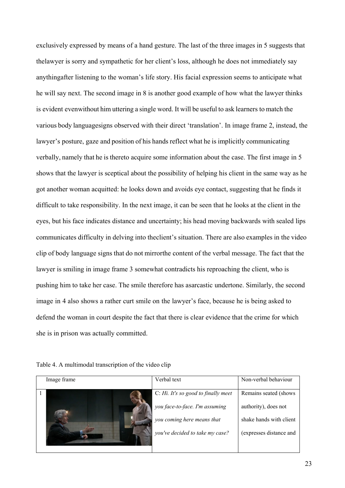exclusively expressed by means of a hand gesture. The last of the three images in 5 suggests that the lawyer is sorry and sympathetic for her client's loss, although he does not immediately say anything after listening to the woman's life story. His facial expression seems to anticipate what he will say next. The second image in 8 is another good example of how what the lawyer thinks is evident evenwithout him uttering a single word. It will be useful to ask learners to match the various body language signs observed with their direct 'translation'. In image frame 2, instead, the lawyer's posture, gaze and position of his hands reflect what he is implicitly communicating verbally, namely that he is there to acquire some information about the case. The first image in 5 shows that the lawyer is sceptical about the possibility of helping his client in the same way as he got another woman acquitted: he looks down and avoids eye contact, suggesting that he finds it difficult to take responsibility. In the next image, it can be seen that he looks at the client in the eyes, but his face indicates distance and uncertainty; his head moving backwards with sealed lips communicates difficulty in delving into the client's situation. There are also examples in the video clip of body language signs that do not mirror the content of the verbal message. The fact that the lawyer is smiling in image frame 3 somewhat contradicts his reproaching the client, who is pushing him to take her case. The smile therefore has a sarcastic undertone. Similarly, the second image in 4 also shows a rather curt smile on the lawyer's face, because he is being asked to defend the woman in court despite the fact that there is clear evidence that the crime for which she is in prison was actually committed.

Table 4. A multimodal transcription of the video clip

| Image frame | Verbal text                         | Non-verbal behaviour    |
|-------------|-------------------------------------|-------------------------|
|             | C: Hi. It's so good to finally meet | Remains seated (shows   |
|             | you face-to-face. I'm assuming      | authority), does not    |
|             | you coming here means that          | shake hands with client |
|             | you've decided to take my case?     | (expresses distance and |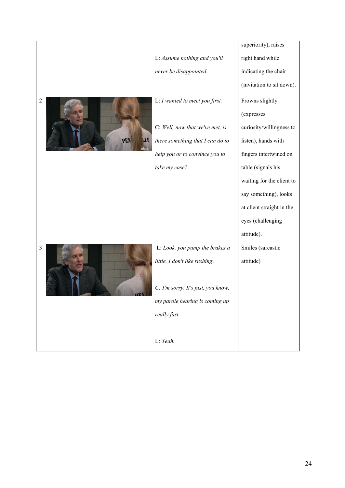|                          |                                    | superiority), raises      |
|--------------------------|------------------------------------|---------------------------|
|                          | L: Assume nothing and you'll       | right hand while          |
|                          | never be disappointed.             | indicating the chair      |
|                          |                                    | (invitation to sit down). |
| $\overline{2}$           | L: I wanted to meet you first.     | Frowns slightly           |
|                          |                                    | (expresses                |
|                          | C: Well, now that we've met, is    | curiosity/willingness to  |
| PEN<br><b>ITI</b><br>abc | there something that I can do to   | listen), hands with       |
|                          | help you or to convince you to     | fingers intertwined on    |
|                          | take my case?                      | table (signals his        |
|                          |                                    | waiting for the client to |
|                          |                                    | say something), looks     |
|                          |                                    | at client straight in the |
|                          |                                    | eyes (challenging         |
|                          |                                    | attitude).                |
| $\overline{3}$           | L: Look, you pump the brakes a     | Smiles (sarcastic         |
|                          | little. I don't like rushing.      | attitude)                 |
|                          |                                    |                           |
|                          | C: I'm sorry. It's just, you know, |                           |
|                          | my parole hearing is coming up     |                           |
|                          | really fast.                       |                           |
|                          |                                    |                           |
|                          | L: Yeah.                           |                           |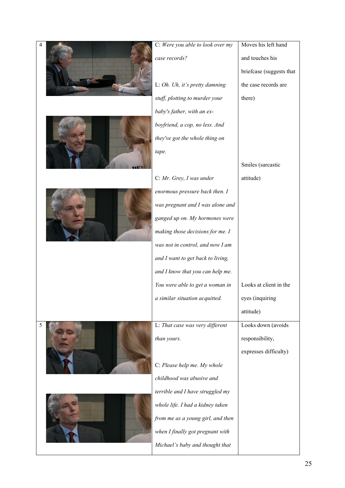| 4 | C: Were you able to look over my  | Moves his left hand      |
|---|-----------------------------------|--------------------------|
|   | case records?                     | and touches his          |
|   |                                   | briefcase (suggests that |
|   | L: Oh. Uh, it's pretty damning    | the case records are     |
|   | stuff, plotting to murder your    | there)                   |
|   | baby's father, with an ex-        |                          |
|   | boyfriend, a cop, no less. And    |                          |
|   | they've got the whole thing on    |                          |
|   | tape.                             |                          |
|   |                                   | Smiles (sarcastic        |
|   | C: Mr. Grey, I was under          | attitude)                |
|   | enormous pressure back then. I    |                          |
|   | was pregnant and I was alone and  |                          |
|   | ganged up on. My hormones were    |                          |
|   | making those decisions for me. I  |                          |
|   | was not in control, and now I am  |                          |
|   | and I want to get back to living, |                          |
|   | and I know that you can help me.  |                          |
|   | You were able to get a woman in   | Looks at client in the   |
|   | a similar situation acquitted.    | eyes (inquiring          |
|   |                                   | attitude)                |
| 5 | L: That case was very different   | Looks down (avoids       |
|   | than yours.                       | responsibility,          |
|   |                                   | expresses difficulty)    |
|   | C: Please help me. My whole       |                          |
|   | childhood was abusive and         |                          |
|   | terrible and I have struggled my  |                          |
|   | whole life. I had a kidney taken  |                          |
|   | from me as a young girl, and then |                          |
|   | when I finally got pregnant with  |                          |
|   | Michael's baby and thought that   |                          |
|   |                                   |                          |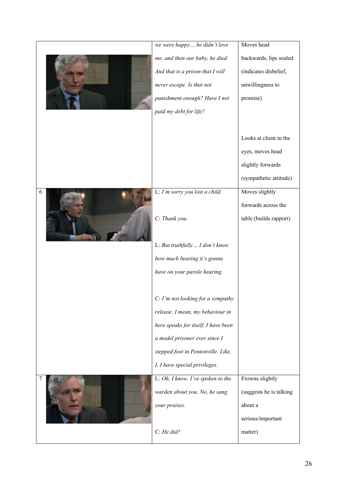|   | we were happy he didn't love        | Moves head              |
|---|-------------------------------------|-------------------------|
|   | me, and then our baby, he died.     | backwards, lips sealed  |
|   | And that is a prison that I will    | (indicates disbelief,   |
|   | never escape. Is that not           | unwillingness to        |
|   | punishment enough? Have I not       | promise)                |
|   | paid my debt for life?              |                         |
|   |                                     |                         |
|   |                                     | Looks at client in the  |
|   |                                     | eyes, moves head        |
|   |                                     | slightly forwards       |
|   |                                     | (sympathetic attitude)  |
| 6 | L: I'm sorry you lost a child.      | Moves slightly          |
|   |                                     | forwards across the     |
|   | C: Thank you.                       | table (builds rapport)  |
|   |                                     |                         |
|   | L: But truthfully I don't know      |                         |
|   | how much bearing it's gonna         |                         |
|   | have on your parole hearing.        |                         |
|   |                                     |                         |
|   | C: I'm not looking for a sympathy   |                         |
|   | release. I mean, my behaviour in    |                         |
|   | here speaks for itself. I have been |                         |
|   | a model prisoner ever since I       |                         |
|   | stepped foot in Pentonville. Like,  |                         |
|   | I, I have special privileges.       |                         |
|   | L: Oh, I know. I've spoken to the   | Frowns slightly         |
|   | warden about you. No, he sang       | (suggests he is talking |
|   | your praises.                       | about a                 |
|   |                                     | serious/important       |
|   |                                     |                         |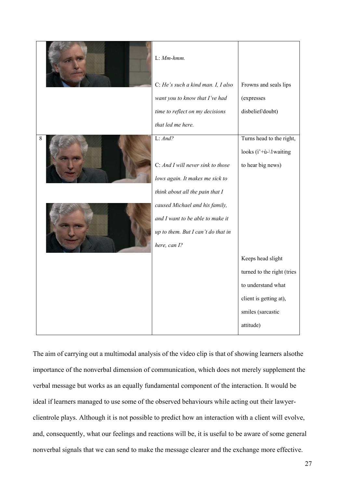|   | $L: Mm-hmm.$                                                                                            |                                                         |
|---|---------------------------------------------------------------------------------------------------------|---------------------------------------------------------|
|   | C: He's such a kind man. I, I also<br>want you to know that I've had<br>time to reflect on my decisions | Frowns and seals lips<br>(expresses<br>disbelief/doubt) |
|   | that led me here.                                                                                       |                                                         |
| 8 | L: And?                                                                                                 | Turns head to the right,                                |
|   |                                                                                                         | looks $(i'+\dot{u}-1)$ waiting                          |
|   | C: And I will never sink to those                                                                       | to hear big news)                                       |
|   | lows again. It makes me sick to                                                                         |                                                         |
|   | think about all the pain that I                                                                         |                                                         |
|   | caused Michael and his family,                                                                          |                                                         |
|   | and I want to be able to make it                                                                        |                                                         |
|   | up to them. But I can't do that in                                                                      |                                                         |
|   | here, can I?                                                                                            |                                                         |
|   |                                                                                                         | Keeps head slight                                       |
|   |                                                                                                         | turned to the right (tries                              |
|   |                                                                                                         | to understand what                                      |
|   |                                                                                                         | client is getting at),                                  |
|   |                                                                                                         | smiles (sarcastic                                       |
|   |                                                                                                         | attitude)                                               |

The aim of carrying out a multimodal analysis of the video clip is that of showing learners alsothe importance of the nonverbal dimension of communication, which does not merely supplement the verbal message but works as an equally fundamental component of the interaction. It would be ideal if learners managed to use some of the observed behaviours while acting out their lawyerclient role plays. Although it is not possible to predict how an interaction with a client will evolve, and, consequently, what our feelings and reactions will be, it is useful to be aware of some general nonverbal signals that we can send to make the message clearer and the exchange more effective.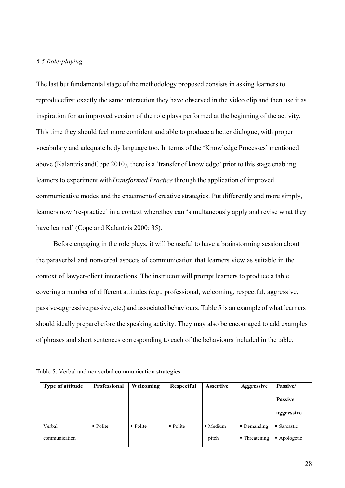# *5.5 Role-playing*

The last but fundamental stage of the methodology proposed consists in asking learners to reproduce first exactly the same interaction they have observed in the video clip and then use it as inspiration for an improved version of the role plays performed at the beginning of the activity. This time they should feel more confident and able to produce a better dialogue, with proper vocabulary and adequate body language too. In terms of the 'Knowledge Processes' mentioned above (Kalantzis and Cope 2010), there is a 'transfer of knowledge' prior to this stage enabling learners to experiment with*Transformed Practice* through the application of improved communicative modes and the enactmentof creative strategies. Put differently and more simply, learners now 're-practice' in a context wherethey can 'simultaneously apply and revise what they have learned' (Cope and Kalantzis 2000: 35).

Before engaging in the role plays, it will be useful to have a brainstorming session about the paraverbal and nonverbal aspects of communication that learners view as suitable in the context of lawyer-client interactions. The instructor will prompt learners to produce a table covering a number of different attitudes (e.g., professional, welcoming, respectful, aggressive, passive-aggressive,passive, etc.) and associated behaviours. Table 5 is an example of what learners should ideally prepare before the speaking activity. They may also be encouraged to add examples of phrases and short sentences corresponding to each of the behaviours included in the table.

Table 5. Verbal and nonverbal communication strategies

| Type of attitude | Professional          | Welcoming             | Respectful | <b>Assertive</b> | <b>Aggressive</b> | Passive/     |
|------------------|-----------------------|-----------------------|------------|------------------|-------------------|--------------|
|                  |                       |                       |            |                  |                   | Passive -    |
|                  |                       |                       |            |                  |                   | aggressive   |
| Verbal           | $\blacksquare$ Polite | $\blacksquare$ Polite | • Polite   | • Medium         | • Demanding       | • Sarcastic  |
| communication    |                       |                       |            | pitch            | • Threatening     | • Apologetic |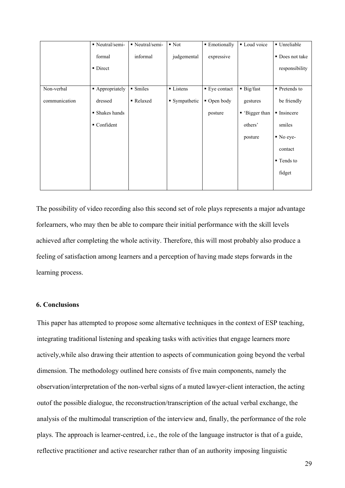|               | • Neutral/semi- | • Neutral/semi- | $\blacksquare$ Not | <b>Emotionally</b> | Loud voice              | · Unreliable           |
|---------------|-----------------|-----------------|--------------------|--------------------|-------------------------|------------------------|
|               | formal          | informal        | judgemental        | expressive         |                         | Does not take          |
|               | • Direct        |                 |                    |                    |                         | responsibility         |
|               |                 |                 |                    |                    |                         |                        |
| Non-verbal    | • Appropriately | • Smiles        | ■ Listens          | ■ Eye contact      | $\blacksquare$ Big/fast | ■ Pretends to          |
| communication | dressed         | Relaxed         | • Sympathetic      | Open body          | gestures                | be friendly            |
|               | • Shakes hands  |                 |                    | posture            | ■ 'Bigger than          | • Insincere            |
|               | • Confident     |                 |                    |                    | others'                 | smiles                 |
|               |                 |                 |                    |                    | posture                 | $\blacksquare$ No eye- |
|               |                 |                 |                    |                    |                         | contact                |
|               |                 |                 |                    |                    |                         | ■ Tends to             |
|               |                 |                 |                    |                    |                         | fidget                 |
|               |                 |                 |                    |                    |                         |                        |

The possibility of video recording also this second set of role plays represents a major advantage forlearners, who may then be able to compare their initial performance with the skill levels achieved after completing the whole activity. Therefore, this will most probably also produce a feeling of satisfaction among learners and a perception of having made steps forwards in the learning process.

## **6. Conclusions**

This paper has attempted to propose some alternative techniques in the context of ESP teaching, integrating traditional listening and speaking tasks with activities that engage learners more actively, while also drawing their attention to aspects of communication going beyond the verbal dimension. The methodology outlined here consists of five main components, namely the observation/interpretation of the non-verbal signs of a muted lawyer-client interaction, the acting out of the possible dialogue, the reconstruction/transcription of the actual verbal exchange, the analysis of the multimodal transcription of the interview and, finally, the performance of the role plays. The approach is learner-centred, i.e., the role of the language instructor is that of a guide, reflective practitioner and active researcher rather than of an authority imposing linguistic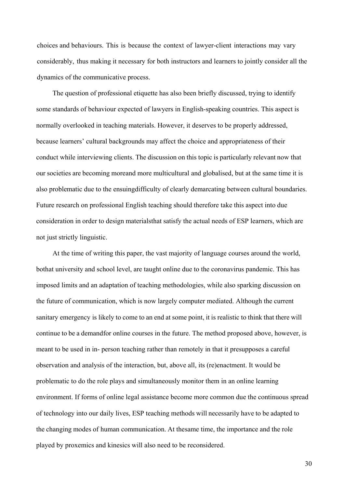choices and behaviours. This is because the context of lawyer-client interactions may vary considerably, thus making it necessary for both instructors and learners to jointly consider all the dynamics of the communicative process.

The question of professional etiquette has also been briefly discussed, trying to identify some standards of behaviour expected of lawyers in English-speaking countries. This aspect is normally overlooked in teaching materials. However, it deserves to be properly addressed, because learners' cultural backgrounds may affect the choice and appropriateness of their conduct while interviewing clients. The discussion on this topic is particularly relevant now that our societies are becoming more and more multicultural and globalised, but at the same time it is also problematic due to the ensuing difficulty of clearly demarcating between cultural boundaries. Future research on professional English teaching should therefore take this aspect into due consideration in order to design materials that satisfy the actual needs of ESP learners, which are not just strictly linguistic.

At the time of writing this paper, the vast majority of language courses around the world, bothat university and school level, are taught online due to the coronavirus pandemic. This has imposed limits and an adaptation of teaching methodologies, while also sparking discussion on the future of communication, which is now largely computer mediated. Although the current sanitary emergency is likely to come to an end at some point, it is realistic to think that there will continue to be a demand for online courses in the future. The method proposed above, however, is meant to be used in in- person teaching rather than remotely in that it presupposes a careful observation and analysis of the interaction, but, above all, its (re)enactment. It would be problematic to do the role plays and simultaneously monitor them in an online learning environment. If forms of online legal assistance become more common due the continuous spread of technology into our daily lives, ESP teaching methods will necessarily have to be adapted to the changing modes of human communication. At the same time, the importance and the role played by proxemics and kinesics will also need to be reconsidered.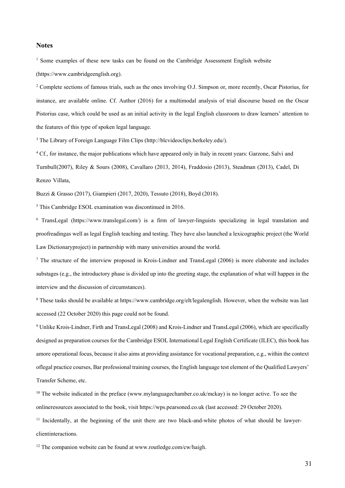#### **Notes**

 $<sup>1</sup>$  Some examples of these new tasks can be found on the Cambridge Assessment English website</sup> (https://www.cambridgeenglish.org).

<sup>2</sup> Complete sections of famous trials, such as the ones involving O.J. Simpson or, more recently, Oscar Pistorius, for instance, are available online. Cf. Author (2016) for a multimodal analysis of trial discourse based on the Oscar Pistorius case, which could be used as an initial activity in the legal English classroom to draw learners' attention to the features of this type of spoken legal language.

<sup>3</sup> The Library of Foreign Language Film Clips [\(http://blcvideoclips.berkeley.edu/\).](about:blank)

<sup>4</sup> Cf., for instance, the major publications which have appeared only in Italy in recent years: Garzone, Salvi and Turnbull(2007), Riley & Sours (2008), Cavallaro (2013, 2014), Fraddosio (2013), Steadman (2013), Cadel, Di Renzo Villata,

Buzzi & Grasso (2017), Giampieri (2017, 2020), Tessuto (2018), Boyd (2018).

<sup>5</sup> This Cambridge ESOL examination was discontinued in 2016.

6 TransLegal (https:[//www.translegal.com/\)](about:blank) is a firm of lawyer-linguists specializing in legal translation and proofreadingas well as legal English teaching and testing. They have also launched a lexicographic project (the World Law Dictionaryproject) in partnership with many universities around the world.

<sup>7</sup> The structure of the interview proposed in Krois-Lindner and TransLegal (2006) is more elaborate and includes substages (e.g., the introductory phase is divided up into the greeting stage, the explanation of what will happen in the interview and the discussion of circumstances).

<sup>8</sup> These tasks should be available at https:[//www.cambridge.org/elt/legalenglish. H](about:blank)owever, when the website was last accessed (22 October 2020) this page could not be found.

<sup>9</sup> Unlike Krois-Lindner, Firth and TransLegal (2008) and Krois-Lindner and TransLegal (2006), which are specifically designed as preparation courses for the Cambridge ESOL International Legal English Certificate (ILEC), this book has amore operational focus, because it also aims at providing assistance for vocational preparation, e.g., within the context oflegal practice courses, Bar professional training courses, the English language test element of the Qualified Lawyers' Transfer Scheme, etc.

<sup>10</sup> The website indicated in the preface [\(www.mylanguagechamber.co.uk/mckay\)](about:blank) is no longer active. To see the onlineresources associated to the book, visit https://wps.pearsoned.co.uk (last accessed: 29 October 2020).

<sup>11</sup> Incidentally, at the beginning of the unit there are two black-and-white photos of what should be lawyerclientinteractions.

 $12$  The companion website can be found at [www.routledge.com/cw/haigh.](about:blank)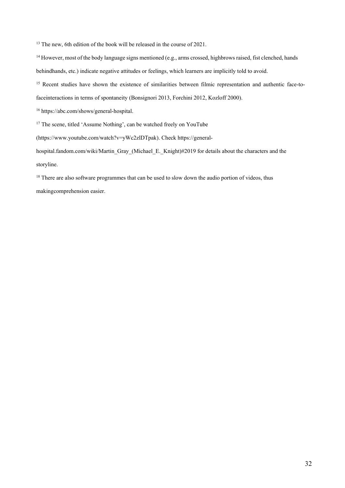<sup>13</sup> The new, 6th edition of the book will be released in the course of 2021.

<sup>14</sup> However, most of the body language signs mentioned (e.g., arms crossed, highbrows raised, fist clenched, hands behindhands, etc.) indicate negative attitudes or feelings, which learners are implicitly told to avoid.

<sup>15</sup> Recent studies have shown the existence of similarities between filmic representation and authentic face-to-

faceinteractions in terms of spontaneity (Bonsignori 2013, Forchini 2012, Kozloff 2000).

<sup>16</sup> https://abc.com/shows/general-hospital.

<sup>17</sup> The scene, titled 'Assume Nothing', can be watched freely on YouTube

(https:[//www.youtube.com/watch?v=yWc2zlDTpak\).](about:blank) Check https://general-

hospital.fandom.com/wiki/Martin\_Gray\_(Michael\_E.\_Knight)#2019 for details about the characters and the storyline.

<sup>18</sup> There are also software programmes that can be used to slow down the audio portion of videos, thus makingcomprehension easier.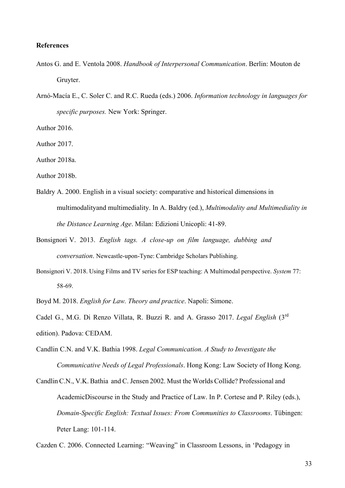# **References**

- Antos G. and E. Ventola 2008. *Handbook of Interpersonal Communication*. Berlin: Mouton de Gruyter.
- Arnó-Macía E., C. Soler C. and R.C. Rueda (eds.) 2006. *Information technology in languages for specific purposes.* New York: Springer.

Author 2016.

Author 2017.

Author 2018a.

- Author 2018b.
- Baldry A. 2000. English in a visual society: comparative and historical dimensions in multimodalityand multimediality. In A. Baldry (ed.), *Multimodality and Multimediality in the Distance Learning Age*. Milan: Edizioni Unicopli: 41-89.
- Bonsignori V. 2013. *English tags. A close-up on film language, dubbing and conversation*. Newcastle-upon-Tyne: Cambridge Scholars Publishing.
- Bonsignori V. 2018. Using Films and TV series for ESP teaching: A Multimodal perspective. *System* 77: 58-69.
- Boyd M. 2018. *English for Law. Theory and practice*. Napoli: Simone.
- Cadel G., M.G. Di Renzo Villata, R. Buzzi R. and A. Grasso 2017. *Legal English* (3rd edition). Padova: CEDAM.
- Candlin C.N. and V.K. Bathia 1998. *Legal Communication. A Study to Investigate the Communicative Needs of Legal Professionals*. Hong Kong: Law Society of Hong Kong.
- Candlin C.N., V.K. Bathia and C. Jensen 2002. Must the Worlds Collide? Professional and Academic Discourse in the Study and Practice of Law. In P. Cortese and P. Riley (eds.), *Domain-Specific English: Textual Issues: From Communities to Classrooms*. Tübingen: Peter Lang: 101-114.

Cazden C. 2006. Connected Learning: "Weaving" in Classroom Lessons, in 'Pedagogy in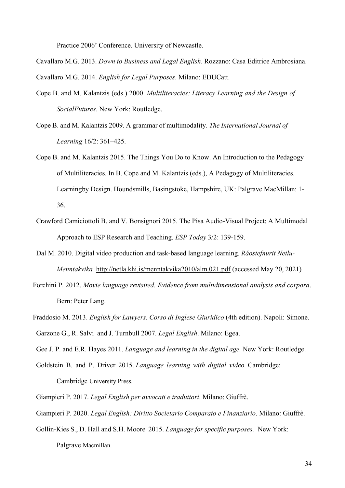Practice 2006' Conference. University of Newcastle.

Cavallaro M.G. 2013. *Down to Business and Legal English*. Rozzano: Casa Editrice Ambrosiana.

Cavallaro M.G. 2014. *English for Legal Purposes*. Milano: EDUCatt.

- Cope B. and M. Kalantzis (eds.) 2000. *Multiliteracies: Literacy Learning and the Design of Social Futures*. New York: Routledge.
- Cope B. and M. Kalantzis 2009. A grammar of multimodality. *The International Journal of Learning* 16/2: 361–425.
- Cope B. and M. Kalantzis 2015. The Things You Do to Know. An Introduction to the Pedagogy of Multiliteracies. In B. Cope and M. Kalantzis (eds.), A Pedagogy of Multiliteracies. Learning by Design. Houndsmills, Basingstoke, Hampshire, UK: Palgrave MacMillan: 1- 36.
- Crawford Camiciottoli B. and V. Bonsignori 2015. The Pisa Audio-Visual Project: A Multimodal Approach to ESP Research and Teaching. *ESP Today* 3/2: 139-159.
- Dal M. 2010. Digital video production and task-based language learning. *Ráostefnurit Netlu-Menntakvika.* [http://netla.khi.is/menntakvika2010/alm.021.pdf \(](about:blank)accessed May 20, 2021)
- Forchini P. 2012. *Movie language revisited. Evidence from multidimensional analysis and corpora*. Bern: Peter Lang.
- Fraddosio M. 2013. *English for Lawyers. Corso di Inglese Giuridico* (4th edition). Napoli: Simone. Garzone G., R. Salvi and J. Turnbull 2007. *Legal English*. Milano: Egea.

Gee J. P. and E.R. Hayes 2011. *Language and learning in the digital age.* New York: Routledge.

- Goldstein B. and P. Driver 2015. *Language learning with digital video.* Cambridge: Cambridge University Press.
- Giampieri P. 2017. *Legal English per avvocati e traduttori*. Milano: Giuffrè.
- Giampieri P. 2020. *Legal English: Diritto Societario Comparato e Finanziario*. Milano: Giuffrè.
- Gollin-Kies S., D. Hall and S.H. Moore 2015. *Language for specific purposes.* New York: Palgrave Macmillan.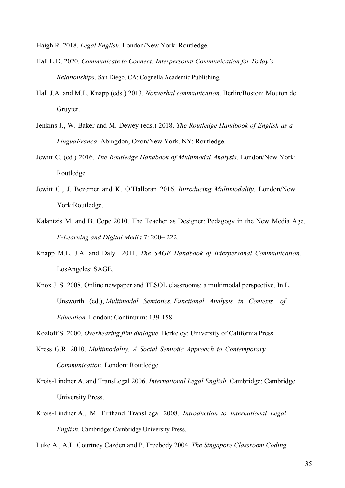Haigh R. 2018. *Legal English*. London/New York: Routledge.

- Hall E.D. 2020. *Communicate to Connect: Interpersonal Communication for Today's Relationships*. San Diego, CA: Cognella Academic Publishing.
- Hall J.A. and M.L. Knapp (eds.) 2013. *Nonverbal communication*. Berlin/Boston: Mouton de Gruyter.
- Jenkins J., W. Baker and M. Dewey (eds.) 2018. *The Routledge Handbook of English as a Lingua Franca*. Abingdon, Oxon/New York, NY: Routledge.
- Jewitt C. (ed.) 2016. *The Routledge Handbook of Multimodal Analysis*. London/New York: Routledge.
- Jewitt C., J. Bezemer and K. O'Halloran 2016. *Introducing Multimodality*. London/New York: Routledge.
- Kalantzis M. and B. Cope 2010. The Teacher as Designer: Pedagogy in the New Media Age. *E- Learning and Digital Media* 7: 200– 222.
- Knapp M.L. J.A. and Daly 2011. *The SAGE Handbook of Interpersonal Communication*. LosAngeles: SAGE.
- Knox J. S. 2008. Online newpaper and TESOL classrooms: a multimodal perspective. In L. Unsworth (ed.), *Multimodal Semiotics. Functional Analysis in Contexts of Education.* London: Continuum: 139-158.

Kozloff S. 2000. *Overhearing film dialogue*. Berkeley: University of California Press.

- Kress G.R. 2010. *Multimodality, A Social Semiotic Approach to Contemporary Communication*. London: Routledge.
- Krois-Lindner A. and TransLegal 2006. *International Legal English*. Cambridge: Cambridge University Press.
- Krois-Lindner A., M. Firthand TransLegal 2008. *Introduction to International Legal English*. Cambridge: Cambridge University Press.

Luke A., A.L. Courtney Cazden and P. Freebody 2004. *The Singapore Classroom Coding*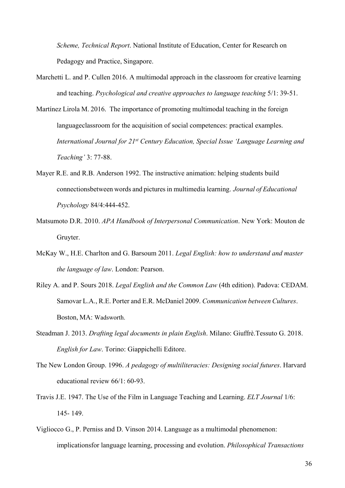*Scheme, Technical Report*. National Institute of Education, Center for Research on Pedagogy and Practice, Singapore.

- Marchetti L. and P. Cullen 2016. A multimodal approach in the classroom for creative learning and teaching. *Psychological and creative approaches to language teaching* 5/1: 39-51.
- Martínez Lirola M. 2016. The importance of promoting multimodal teaching in the foreign language classroom for the acquisition of social competences: practical examples. *International Journal for 21st Century Education, Special Issue 'Language Learning and Teaching'* 3: 77- 88.
- Mayer R.E. and R.B. Anderson 1992. The instructive animation: helping students build connections between words and pictures in multimedia learning. *Journal of Educational Psychology* 84/4: 444-452.
- Matsumoto D.R. 2010. *APA Handbook of Interpersonal Communication*. New York: Mouton de Gruyter.
- McKay W., H.E. Charlton and G. Barsoum 2011. *Legal English: how to understand and master the language of law*. London: Pearson.
- Riley A. and P. Sours 2018. *Legal English and the Common Law* (4th edition). Padova: CEDAM. Samovar L.A., R.E. Porter and E.R. McDaniel 2009. *Communication between Cultures*. Boston, MA: Wadsworth.
- Steadman J. 2013. *Drafting legal documents in plain English*. Milano: Giuffrè.Tessuto G. 2018. *English for Law*. Torino: Giappichelli Editore.
- The New London Group. 1996. *A pedagogy of multiliteracies: Designing social futures*. Harvard educational review 66/1: 60-93.
- Travis J.E. 1947. The Use of the Film in Language Teaching and Learning. *ELT Journal* 1/6: 145- 149.
- Vigliocco G., P. Perniss and D. Vinson 2014. Language as a multimodal phenomenon: implications for language learning, processing and evolution. *Philosophical Transactions*